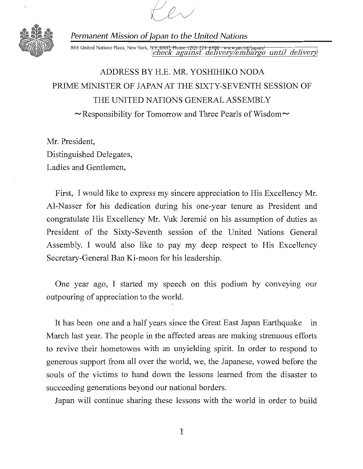

Permanent Mission of Japan to the United Nations

866 United Nations Plaza, New York, N<del>.Y.,10017, Phone: (212) 223-4300 • www.un.int/japan/</del><br>|check against delivery/embargo until delivery|

ADDRESS BY H.E. MR. YOSHIHIKO NODA PRIME MINISTER OF JAPAN AT THE SIXTY-SEVENTH SESSION OF THE UNITED NATIONS GENERAL ASSEMBLY  $\sim$  Responsibility for Tomorrow and Three Pearls of Wisdom $\sim$ 

Mr. President, Distinguished Delegates, Ladies and Gentlemen,

First, I would like to express my sincere appreciation to His Excellency Mr. A1-Nasser for his dedication during his one-year tenure as President and congratulate His Excellency Mr. Vuk Jeremić on his assumption of duties as President of the Sixty-Seventh session of the United Nations General Assembly. I would also like to pay my deep respect to His Excellency Secretary-General Ban Ki-moon for his leadership.

One year ago, I started my speech on this podium by conveying our outpouring of appreciation to the world.

It has been one and a half years since the Great East Japan Earthquake in March last year. The people in the affected areas are making strenuous efforts to revive their hometowns with an unyielding spirit. In order to respond to generous support from all over the world, we, the Japanese, vowed before the souls of the victims to hand down the lessons learned from the disaster to succeeding generations beyond our national borders.

Japan will continue sharing these lessons with the world in order to build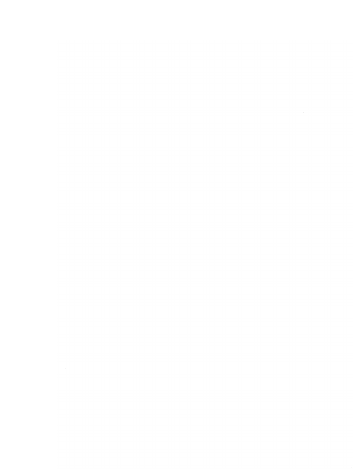$\label{eq:2.1} \frac{1}{\sqrt{2}}\left(\frac{1}{\sqrt{2}}\right)^{2} \left(\frac{1}{\sqrt{2}}\right)^{2} \left(\frac{1}{\sqrt{2}}\right)^{2} \left(\frac{1}{\sqrt{2}}\right)^{2} \left(\frac{1}{\sqrt{2}}\right)^{2} \left(\frac{1}{\sqrt{2}}\right)^{2} \left(\frac{1}{\sqrt{2}}\right)^{2} \left(\frac{1}{\sqrt{2}}\right)^{2} \left(\frac{1}{\sqrt{2}}\right)^{2} \left(\frac{1}{\sqrt{2}}\right)^{2} \left(\frac{1}{\sqrt{2}}\right)^{2} \left(\$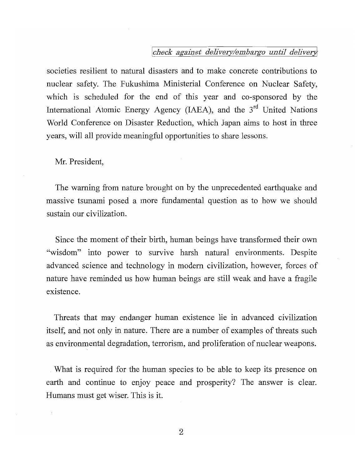societies resilient to natural disasters and to make concrete contributions to nuclear safety. The Fukushima Ministerial Conference on Nuclear Safety, which is scheduled for the end of this year and co-sponsored by the International Atomic Energy Agency (IAEA), and the 3<sup>rd</sup> United Nations World Conference on Disaster Reduction, which Japan aims to host in three years, will all provide meaningful opportunities to share lessons.

Mr. President,

The warning from nature brought on by the unprecedented earthquake and massive tsunami posed a more fundamental question as to how we should sustain our civilization.

Since the moment of their birth, human beings have transformed their own "wisdom" into power to survive harsh natural environments. Despite advanced science and technology in modem civilization, however, forces of nature have reminded us how human beings are still weak and have a fragile existence.

Threats that may endanger human existence lie in advanced civilization itself, and not only in nature. There are a number of examples of threats such as environmental degradation, terrorism, and proliferation of nuclear weapons.

What is required for the human species to be able to keep its presence on earth and continue to enjoy peace and prosperity? The answer is clear. Humans must get wiser. This is it.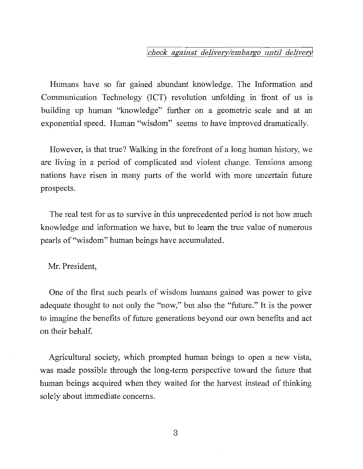Humans have so far gained abundant knowledge. The Information and Communication Technology (ICT) revolution unfolding in front of us is building up human "knowledge" further on a geometric scale and at an exponential speed. Human "wisdom" seems to have improved dramatically.

However, is that true? Walking in the forefront of a long human history, we are living in a period of complicated and violent change. Tensions among nations have risen in many parts of the world with more uncertain future prospects.

The real test for us to survive in this unprecedented period is not how much knowledge and information we have, but to learn the true value of numerous pearls of "wisdom" human beings have accumulated.

Mr. President,

One of the first such pearls of wisdom humans gained was power to give adequate thought to not only the "now," but also the "future." It is the power to imagine the benefits of future generations beyond our own benefits and act on their behalf.

Agricultural society, which prompted human beings to open a new vista, was made possible through the long-term perspective toward the future that human beings acquired when they waited for the harvest instead of thinking solely about immediate concerns.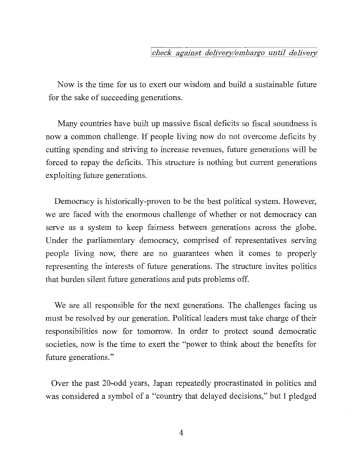Now is the time for us to exert our wisdom and build a sustainable future for the sake of succeeding generations.

Many countries have built up massive fiscal deficits so fiscal soundness is now a common challenge. If people living now do not overcome deficits by cutting spending and striving to increase revenues, future generations will be forced to repay the deficits. This structure is nothing but current generations exploiting future generations.

Democracy is historically-proven to be the best political system. However, we are faced with the enormous challenge of whether or not democracy can serve as a system to keep fairness between generations across the globe. Under the parliamentary democracy, comprised of representatives serving people living now, there are no guarantees when it comes to properly representing the interests of future generations. The structure invites politics that burden silent future generations and puts problems off.

We are all responsible for the next generations. The challenges facing us must be resolved by our generation. Political leaders must take charge of their responsibilities now for tomorrow. In order to protect sound democratic societies, now is the time to exert the "power to think about the benefits for future generations."

Over the past 20-odd years, Japan repeatedly procrastinated in politics and was considered a symbol of a "country that delayed decisions," but I pledged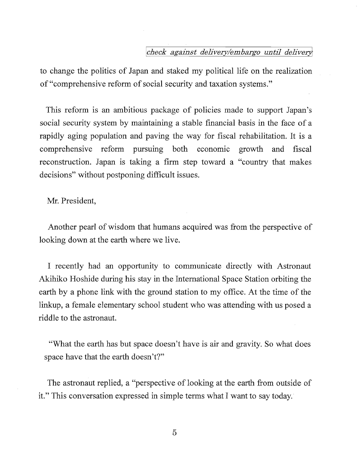to change the politics of Japan and staked my political life on the realization of "comprehensive reform of social security and taxation systems."

This reform is an ambitious package of policies made to support Japan's social security system by maintaining a stable financial basis in the face of a rapidly aging population and paving the way for fiscal rehabilitation. It is a comprehensive reform pursuing both economic growth and fiscal reconstruction. Japan is taking a firm step toward a "country that makes decisions" without postponing difficult issues.

Mr. President,

Another pearl of wisdom that humans acquired was from the perspective of looking down at the earth where we live.

I recently had an opportunity to communicate directly with Astronaut Akihiko Hoshide during his stay in the International Space Station orbiting the earth by a phone link with the ground station to my office. At the time of the linkup, a female elementary school student who was attending with us posed a riddle to the astronaut.

"What the earth has but space doesn't have is air and gravity. So what does space have that the earth doesn't?"

The astronaut replied, a "perspective of looking at the earth from outside of it." This conversation expressed in simple terms what I want to say today.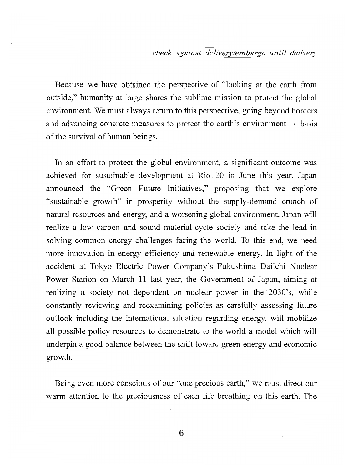Because we have obtained the perspective of "looking at the earth from outside," humanity at large shares the sublime mission to protect the global environment. We must always return to this perspective, going beyond borders and advancing concrete measures to protect the earth's environment-a basis of the survival of human beings.

In an effort to protect the global environment, a significant outcome was achieved for sustainable development at Rio+20 in June this year. Japan announced the "Green Future Initiatives," proposing that we explore "sustainable growth" in prosperity without the supply-demand crunch of natural resources and energy, and a worsening global environment. Japan will realize a low carbon and sound material-cycle society and take the lead in solving common energy challenges facing the world. To this end, we need more innovation in energy efficiency and renewable energy. In light of the accident at Tokyo Electric Power Company's Fukushima Daiichi Nuclear Power Station on March 11 last year, the Government of Japan, aiming at realizing a society not dependent on nuclear power in the 2030's, while constantly reviewing and reexamining policies as carefully assessing future outlook including the international situation regarding energy, will mobilize all possible policy resources to demonstrate to the world a model which will underpin a good balance between the shift toward green energy and economic growth.

Being even more conscious of our "one precious earth," we must direct our warm attention to the preciousness of each life breathing on this earth. The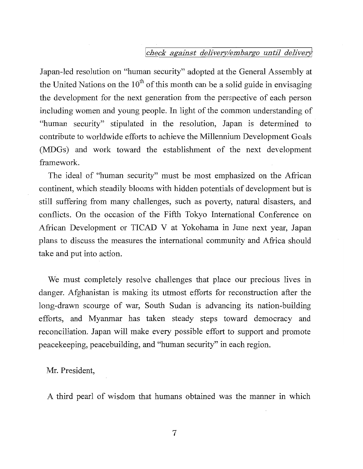Japan-led resolution on "human security" adopted at the General Assembly at the United Nations on the  $10<sup>th</sup>$  of this month can be a solid guide in envisaging the development for the next generation from the perspective of each person including women and young people. In light of the common understanding of "human security" stipulated in the resolution, Japan is determined to contribute to worldwide efforts to achieve the Millennium Development Goals (MDGs) and work toward the establishment of the next development framework.

The ideal of "human security" must be most emphasized on the African continent, which steadily blooms with hidden potentials of development but is still suffering from many challenges, such as poverty, natural disasters, and conflicts. On the occasion of the Fifth Tokyo International Conference on African Development or TICAD V at Yokohama in June next year, Japan plans to discuss the measures the international community and Africa should take and put into action.

We must completely resolve challenges that place our precious lives in danger. Afghanistan is making its utmost efforts for reconstruction after the long-drawn scourge of war, South Sudan is advancing its nation-building efforts, and Myanmar has taken steady steps toward democracy and reconciliation. Japan will make every possible effort to support and promote peacekeeping, peacebuilding, and "human security" in each region.

Mr. President,

A third pearl of wisdom that humans obtained was the manner in which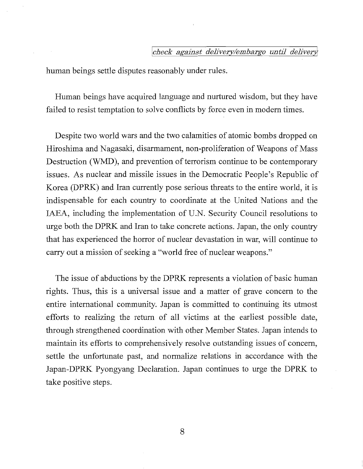human beings settle disputes reasonably under rules.

Human beings have acquired language and nurtured wisdom, but they have failed to resist temptation to solve conflicts by force even in modern times.

Despite two world wars and the two calamities of atomic bombs dropped on Hiroshima and Nagasaki, disarmament, non-proliferation of Weapons of Mass Destruction (WMD), and prevention of terrorism continue to be contemporary issues. As nuclear and missile issues in the Democratic People's Republic of Korea (DPRK) and Iran currently pose serious threats to the entire world, it is indispensable for each country to coordinate at the United Nations and the IAEA, including the implementation of U.N. Security Council resolutions to urge both the DPRK and Iran to take concrete actions. Japan, the only country that has experienced the horror of nuclear devastation in war, will continue to carry out a mission of seeking a "world free of nuclear weapons."

The issue of abductions by the DPRK represents a violation of basic human rights. Thus, this is a universal issue and a matter of grave concern to the entire international community. Japan is committed to continuing its utmost efforts to realizing the return of all victims at the earliest possible date, through strengthened coordination with other Member States. Japan intends to maintain its efforts to comprehensively resolve outstanding issues of concern, settle the unfortunate past, and normalize relations in accordance with the Japan-DPRK Pyongyang Declaration. Japan continues to urge the DPRK to take positive steps.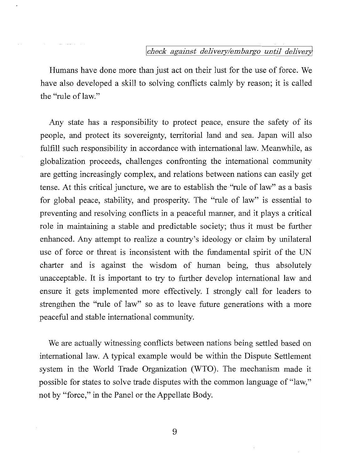Humans have done more than just act on their lust for the use of force. We have also developed a skill to solving conflicts calmly by reason; it is called the "rule of law."

Any state has a responsibility to protect peace, ensure the safety of its people, and protect its sovereignty, territorial land and sea. Japan will also fulfill such responsibility in accordance with international law. Meanwhile, as globalization proceeds, challenges confronting the international community are getting increasingly complex, and relations between nations can easily get tense. At this critical juncture, we are to establish the "rule of law" as a basis for global peace, stability, and prosperity. The "rule of law" is essential to preventing and resolving conflicts in a peaceful manner, and it plays a critical role in maintaining a stable and predictable society; thus it must be further enhanced. Any attempt to realize a country's ideology or claim by unilateral use of force or threat is inconsistent with the fundamental spirit of the UN charter and is against the wisdom of human being, thus absolutely unacceptable. It is important to try to further develop international law and ensure it gets implemented more effectively. I strongly call for leaders to strengthen the "rule of law" so as to leave future generations with a more peaceful and stable international community.

We are actually witnessing conflicts between nations being settled based on international law. A typical example would be within the Dispute Settlement system in the World Trade Organization (WTO). The mechanism made it possible for states to solve trade disputes with the common language of "law," not by "force," in the Panel or the Appellate Body.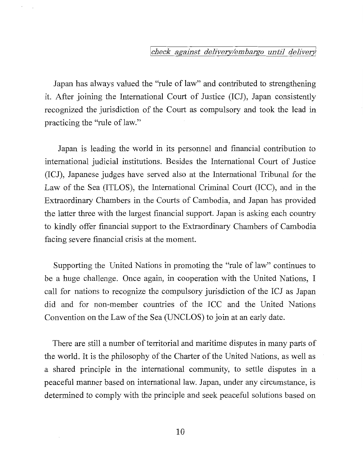Japan has always valued the "rule of law" and contributed to strengthening it. After joining the International Court of Justice (ICJ), Japan consistently recognized the jurisdiction of the Court as compulsory and took the lead in practicing the "rule of law."

Japan is leading the world in its personnel and f'mancial contribution to international judicial institutions. Besides the International Court of Justice (ICJ), Japanese judges have served also at the International Tribunal for the Law of the Sea (ITLOS), the International Criminal Court (ICC), and in the Extraordinary Chambers in the Courts of Cambodia, and Japan has provided the latter three with the largest financial support. Japan is asking each country to kindly offer financial support to the Extraordinary Chambers of Cambodia facing severe financial crisis at the moment.

Supporting the United Nations in promoting the "rule of law" continues to be a huge challenge. Once again, in cooperation with the United Nations, I call for nations to recognize the compulsory jurisdiction of the ICJ as Japan did and for non-member countries of the ICC and the United Nations Convention on the Law of the Sea (UNCLOS) to join at an early date.

There are still a number of territorial and maritime disputes in many parts of the world. It is the philosophy of the Charter of the United Nations, as well as a shared principle in the international community, to settle disputes in a peaceful manner based on international law. Japan, under any circumstance, is determined to comply with the principle and seek peaceful solutions based on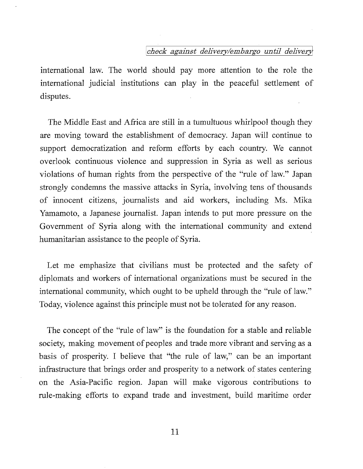international law. The world should pay more attention to the role the international judicial institutions can play in the peaceful settlement of disputes.

The Middle East and Africa are still in a tumultuous whirlpool though they are moving toward the establishment of democracy. Japan will continue to support democratization and reform efforts by each country. We cannot overlook continuous violence and suppression in Syria as well as serious violations of human rights from the perspective of the "rule of law." Japan strongly condemns the massive attacks in Syria, involving tens of thousands of innocent citizens, journalists and aid workers, including Ms. Mika Yamamoto, a Japanese journalist. Japan intends to put more pressure on the Government of Syria along with the international community and extend humanitarian assistance to the people of Syria.

Let me emphasize that civilians must be protected and the safety of diplomats and workers of international organizations must be secured in the international community, which ought to be upheld through the "rule of law." Today, violence against this principle must not be tolerated for any reason.

The concept of the "rule of law" is the foundation for a stable and reliable society, making movement of peoples and trade more vibrant and serving as a basis of prosperity. I believe that "the rule of law," can be an important infrastructure that brings order and prosperity to a network of states centering on the Asia-Pacific region. Japan will make vigorous contributions to rule-making efforts to expand trade and investment, build maritime order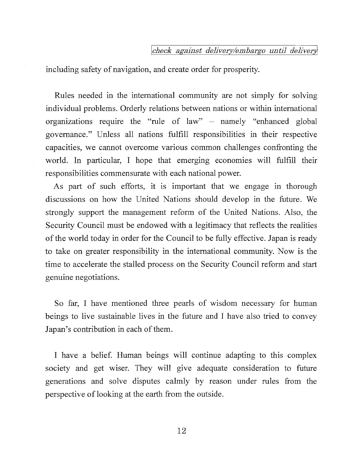including safety of navigation, and create order for prosperity.

Rules needed in the international community are not simply for solving individual problems. Orderly relations between nations or within international organizations require the "rule of law" - namely "enhanced global governance." Unless all nations fulfill responsibilities in their respective capacities, we cannot overcome various common challenges confronting the world. In particular, I hope that emerging economies will fulfill their responsibilities commensurate with each national power.

As part of such efforts, it is important that we engage in thorough discussions on how the United Nations should develop in the future. We strongly support the management reform of the United Nations. Also, the Security Council must be endowed with a legitimacy that reflects the realities of the world today in order for the Council to be fully effective. Japan is ready to take on greater responsibility in the international community. Now is the time to accelerate the stalled process on the Security Council reform and start genuine negotiations.

So far, I have mentioned three pearls of wisdom necessary for human beings to live sustainable lives in the future and I have also tried to convey Japan's contribution in each of them.

I have a belief. Human beings will continue adapting to this complex society and get wiser. They will give adequate consideration to future generations and solve disputes calmly by reason under rules from the perspective of looking at the earth from the outside.